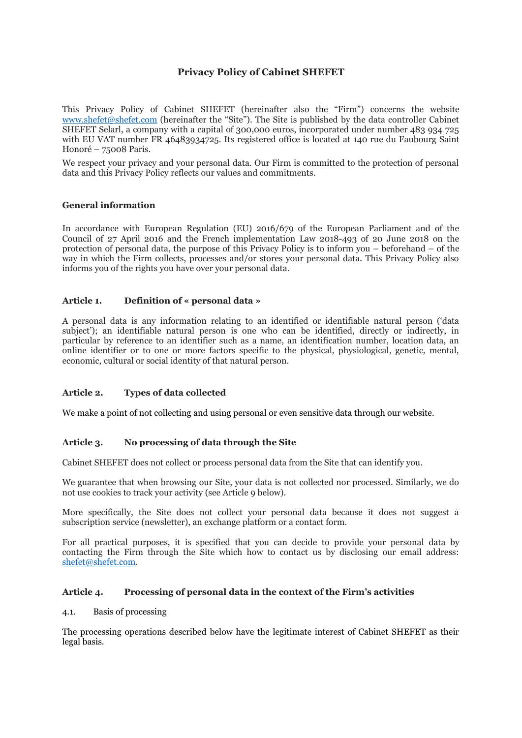# **Privacy Policy of Cabinet SHEFET**

This Privacy Policy of Cabinet SHEFET (hereinafter also the "Firm") concerns the website [www.shefet@shefet.com](./http:%2F%2Fwww.shefet@shefet.com) (hereinafter the "Site"). The Site is published by the data controller Cabinet SHEFET Selarl, a company with a capital of 300,000 euros, incorporated under number 483 934 725 with EU VAT number FR 46483934725. Its registered office is located at 140 rue du Faubourg Saint Honoré – 75008 Paris.

We respect your privacy and your personal data. Our Firm is committed to the protection of personal data and this Privacy Policy reflects our values and commitments.

### **General information**

In accordance with European Regulation (EU) 2016/679 of the European Parliament and of the Council of 27 April 2016 and the French implementation Law 2018-493 of 20 June 2018 on the protection of personal data, the purpose of this Privacy Policy is to inform you – beforehand – of the way in which the Firm collects, processes and/or stores your personal data. This Privacy Policy also informs you of the rights you have over your personal data.

### **Article 1. Definition of « personal data »**

A personal data is any information relating to an identified or identifiable natural person ('data subject'); an identifiable natural person is one who can be identified, directly or indirectly, in particular by reference to an identifier such as a name, an identification number, location data, an online identifier or to one or more factors specific to the physical, physiological, genetic, mental, economic, cultural or social identity of that natural person.

### **Article 2. Types of data collected**

We make a point of not collecting and using personal or even sensitive data through our website.

# **Article 3. No processing of data through the Site**

Cabinet SHEFET does not collect or process personal data from the Site that can identify you.

We guarantee that when browsing our Site, your data is not collected nor processed. Similarly, we do not use cookies to track your activity (see Article 9 below).

More specifically, the Site does not collect your personal data because it does not suggest a subscription service (newsletter), an exchange platform or a contact form.

For all practical purposes, it is specified that you can decide to provide your personal data by contacting the Firm through the Site which how to contact us by disclosing our email address: [shefet@shefet.com.](mailto:shefet@shefet.com)

### **Article 4. Processing of personal data in the context of the Firm's activities**

### 4.1. Basis of processing

The processing operations described below have the legitimate interest of Cabinet SHEFET as their legal basis.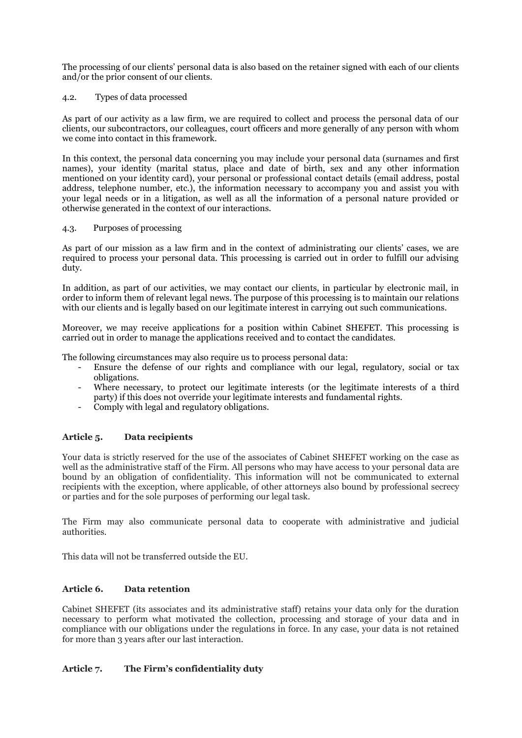The processing of our clients' personal data is also based on the retainer signed with each of our clients and/or the prior consent of our clients.

### 4.2. Types of data processed

As part of our activity as a law firm, we are required to collect and process the personal data of our clients, our subcontractors, our colleagues, court officers and more generally of any person with whom we come into contact in this framework.

In this context, the personal data concerning you may include your personal data (surnames and first names), your identity (marital status, place and date of birth, sex and any other information mentioned on your identity card), your personal or professional contact details (email address, postal address, telephone number, etc.), the information necessary to accompany you and assist you with your legal needs or in a litigation, as well as all the information of a personal nature provided or otherwise generated in the context of our interactions.

### 4.3. Purposes of processing

As part of our mission as a law firm and in the context of administrating our clients' cases, we are required to process your personal data. This processing is carried out in order to fulfill our advising duty.

In addition, as part of our activities, we may contact our clients, in particular by electronic mail, in order to inform them of relevant legal news. The purpose of this processing is to maintain our relations with our clients and is legally based on our legitimate interest in carrying out such communications.

Moreover, we may receive applications for a position within Cabinet SHEFET. This processing is carried out in order to manage the applications received and to contact the candidates.

The following circumstances may also require us to process personal data:

- Ensure the defense of our rights and compliance with our legal, regulatory, social or tax obligations.
- Where necessary, to protect our legitimate interests (or the legitimate interests of a third party) if this does not override your legitimate interests and fundamental rights.
- Comply with legal and regulatory obligations.

# **Article 5. Data recipients**

Your data is strictly reserved for the use of the associates of Cabinet SHEFET working on the case as well as the administrative staff of the Firm. All persons who may have access to your personal data are bound by an obligation of confidentiality. This information will not be communicated to external recipients with the exception, where applicable, of other attorneys also bound by professional secrecy or parties and for the sole purposes of performing our legal task.

The Firm may also communicate personal data to cooperate with administrative and judicial authorities.

This data will not be transferred outside the EU.

## **Article 6. Data retention**

Cabinet SHEFET (its associates and its administrative staff) retains your data only for the duration necessary to perform what motivated the collection, processing and storage of your data and in compliance with our obligations under the regulations in force. In any case, your data is not retained for more than 3 years after our last interaction.

# **Article 7. The Firm's confidentiality duty**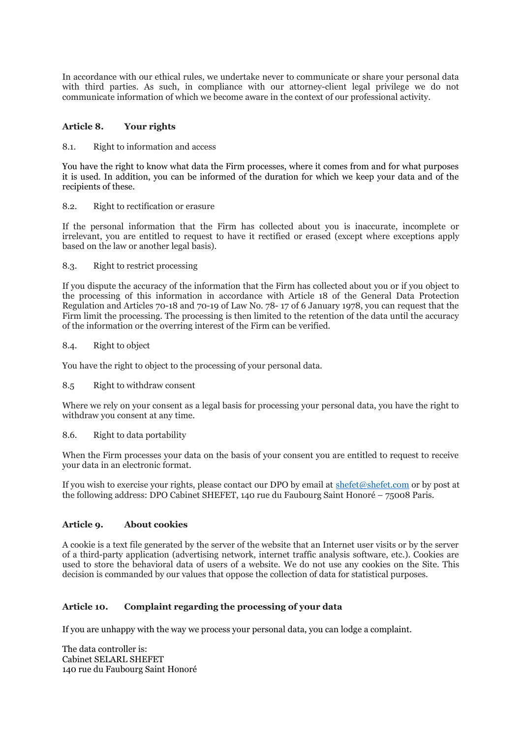In accordance with our ethical rules, we undertake never to communicate or share your personal data with third parties. As such, in compliance with our attorney-client legal privilege we do not communicate information of which we become aware in the context of our professional activity.

## **Article 8. Your rights**

#### 8.1. Right to information and access

You have the right to know what data the Firm processes, where it comes from and for what purposes it is used. In addition, you can be informed of the duration for which we keep your data and of the recipients of these.

### 8.2. Right to rectification or erasure

If the personal information that the Firm has collected about you is inaccurate, incomplete or irrelevant, you are entitled to request to have it rectified or erased (except where exceptions apply based on the law or another legal basis).

### 8.3. Right to restrict processing

If you dispute the accuracy of the information that the Firm has collected about you or if you object to the processing of this information in accordance with Article 18 of the General Data Protection Regulation and Articles 70-18 and 70-19 of Law No. 78- 17 of 6 January 1978, you can request that the Firm limit the processing. The processing is then limited to the retention of the data until the accuracy of the information or the overring interest of the Firm can be verified.

#### 8.4. Right to object

You have the right to object to the processing of your personal data.

### 8.5 Right to withdraw consent

Where we rely on your consent as a legal basis for processing your personal data, you have the right to withdraw you consent at any time.

### 8.6. Right to data portability

When the Firm processes your data on the basis of your consent you are entitled to request to receive your data in an electronic format.

If you wish to exercise your rights, please contact our DPO by email at [shefet@shefet.com](mailto:shefet@shefet.com) or by post at the following address: DPO Cabinet SHEFET, 140 rue du Faubourg Saint Honoré – 75008 Paris.

### **Article 9. About cookies**

A cookie is a text file generated by the server of the website that an Internet user visits or by the server of a third-party application (advertising network, internet traffic analysis software, etc.). Cookies are used to store the behavioral data of users of a website. We do not use any cookies on the Site. This decision is commanded by our values that oppose the collection of data for statistical purposes.

# **Article 10. Complaint regarding the processing of your data**

If you are unhappy with the way we process your personal data, you can lodge a complaint.

The data controller is: Cabinet SELARL SHEFET 140 rue du Faubourg Saint Honoré